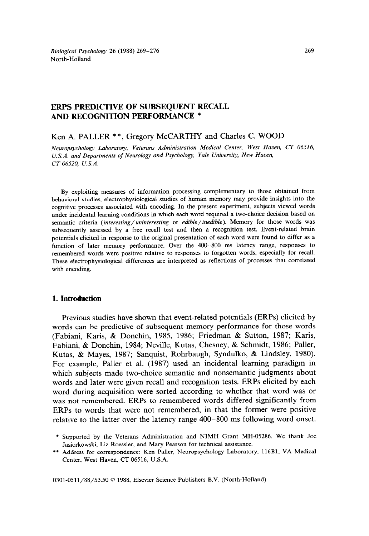# **ERPS PREDICTIVE OF SUBSEQUENT RECALL AND RECOGNITION PERFORMANCE \***

Ken A. PALLER \*\*, Gregory McCARTHY and Charles C. WOOD

*Neuropsychology Laboratory, Veterans Administration Medical Center, West Haven, CT 06516, U.S.A. and Departments of Neurology and Psychology, Yale University, New Haven, CT 06520, u. S.A.* 

By exploiting measures of information processing complementary to those obtained from behavioral studies, electrophysiological studies of human memory may provide insights into the cognitive processes associated with encoding. In the present experiment, subjects viewed words under incidental learning conditions in which each word required a two-choice decision based on semantic criteria *(interesting/uninteresting* or *edible/inedible).* Memory for those words was subsequently assessed by a free recall test and then a recognition test. Event-related brain potentials elicited in response to the original presentation of each word were found to differ as a function of later memory performance. Over the 400-800 ms latency range, responses to remembered words were positive relative to responses to forgotten words, especially for recall. These electrophysiological differences are interpreted as reflections of processes that correlated with encoding.

## **1. Introduction**

Previous studies have shown that event-related potentials (ERPs) elicited by words can be predictive of subsequent memory performance for those words (Fabiani, Karis, & Donchin, 1985, 1986; Friedman & Sutton, 1987; Karis, Fabiani, & Donchin, 1984; Neville, Kutas, Chesney, & Schmidt, 1986; Paller, Kutas, & Mayes, 1987; Sanquist, Rohrbaugh, Syndulko, & Lindsley, 1980). For example, Paller et al. (1987) used an incidental learning paradigm in which subjects made two-choice semantic and nonsemantic judgments about words and later were given recall and recognition tests. ERPs elicited by each word during acquisition were sorted according to whether that word was or was not remembered. ERPs to remembered words differed significantly from ERPs to words that were not remembered, in that the former were positive relative to the latter over the latency range 400-800 ms following word onset.

0301-0511/88/\$3.50 0 1988, Elsevier Science Publishers B.V. (North-Holland)

<sup>\*</sup> Supported by the Veterans Administration and NIMH Grant MH-05286. We thank Joe Jasiorkowski, Liz Roessler, and Mary Pearson for technical assistance.

<sup>\*\*</sup> Address for correspondence: Ken Paller, Neuropsychology Laboratory, 116B1, VA Medical Center, West Haven, CT 06516, U.S.A.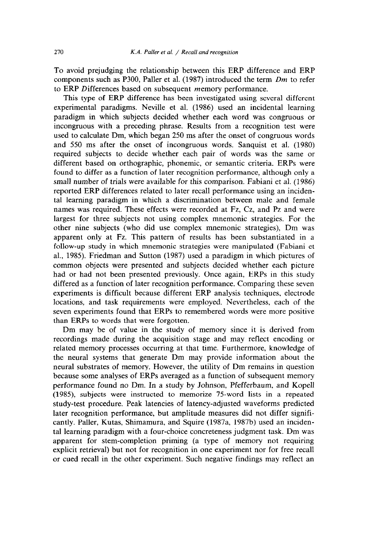To avoid prejudging the relationship between this ERP difference and ERP components such as P300, Paller et al. (1987) introduced the term *Dm* to refer to ERP Differences based on subsequent memory performance.

This type of ERP difference has been investigated using several different experimental paradigms. Neville et al. (1986) used an incidental learning paradigm in which subjects decided whether each word was congruous or incongruous with a preceding phrase. Results from a recognition test were used to calculate Dm, which began 250 ms after the onset of congruous words and 550 ms after the onset of incongruous words. Sanquist et al. (1980) required subjects to decide whether each pair of words was the same or different based on orthographic, phonemic, or semantic criteria. ERPs were found to differ as a function of later recognition performance, although only a small number of trials were available for this comparison. Fabiani et al. (1986) reported ERP differences related to later recall performance using an incidental learning paradigm in which a discrimination between male and female names was required. These effects were recorded at Fz, Cz, and Pz and were largest for three subjects not using complex mnemonic strategies. For the other nine subjects (who did use complex mnemonic strategies), Dm was apparent only at Fz. This pattern of results has been substantiated in a follow-up study in which mnemonic strategies were manipulated (Fabiani et al., 1985). Friedman and Sutton (1987) used a paradigm in which pictures of common objects were presented and subjects decided whether each picture had or had not been presented previously. Once again, ERPs in this study differed as a function of later recognition performance. Comparing these seven experiments is difficult because different ERP analysis techniques, electrode locations, and task requirements were employed. Nevertheless, each of the seven experiments found that ERPs to remembered words were more positive than ERPs to words that were forgotten.

Dm may be of value in the study of memory since it is derived from recordings made during the acquisition stage and may reflect encoding or related memory processes occurring at that time. Furthermore, knowledge of the neural systems that generate Dm may provide information about the neural substrates of memory. However, the utility of Dm remains in question because some analyses of ERPs averaged as a function of subsequent memory performance found no Dm. In a study by Johnson, Pfefferbaum, and Kopell (1985) subjects were instructed to memorize 75-word lists in a repeated study-test procedure. Peak latencies of latency-adjusted waveforms predicted later recognition performance, but amplitude measures did not differ significantly. Paller, Kutas, Shimamura, and Squire (1987a, 1987b) used an incidental learning paradigm with a four-choice concreteness judgment task. Dm was apparent for stem-completion priming (a type of memory not requiring explicit retrieval) but not for recognition in one experiment nor for free recall or cued recall in the other experiment. Such negative findings may reflect an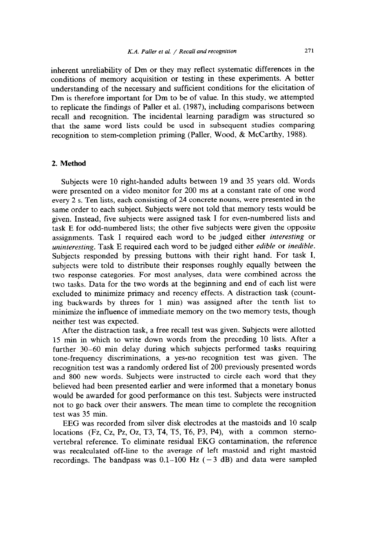inherent unreliability of Dm or they may reflect systematic differences in the conditions of memory acquisition or testing in these experiments. A better understanding of the necessary and sufficient conditions for the elicitation of Dm is therefore important for Dm to be of value. In this study, we attempted to replicate the findings of Paller et al. (1987), including comparisons between recall and recognition. The incidental learning paradigm was structured so that the same word lists could be used in subsequent studies comparing recognition to stem-completion priming (Paller, Wood, & McCarthy, 1988).

# 2. **Method**

Subjects were 10 right-handed adults between 19 and 35 years old. Words were presented on a video monitor for 200 ms at a constant rate of one word every 2 s. Ten lists, each consisting of 24 concrete nouns, were presented in the same order to each subject. Subjects were not told that memory tests would be given. Instead, five subjects were assigned task I for even-numbered lists and task E for odd-numbered lists; the other five subjects were given the opposite assignments. Task I required each word to be judged either *interesting* or *uninteresting.* Task E required each word to be judged either *edible* or *inedible.*  Subjects responded by pressing buttons with their right hand. For task I, subjects were told to distribute their responses roughly equally between the two response categories. For most analyses, data were combined across the two tasks. Data for the two words at the beginning and end of each list were excluded to minimize primacy and recency effects. A distraction task (counting backwards by threes for 1 min) was assigned after the tenth list to minimize the influence of immediate memory on the two memory tests, though neither test was expected.

After the distraction task, a free recall test was given. Subjects were allotted 15 min in which to write down words from the preceding 10 lists. After a further 30-60 min delay during which subjects performed tasks requiring tone-frequency discriminations, a yes-no recognition test was given. The recognition test was a randomly ordered list of 200 previously presented words and 800 new words. Subjects were instructed to circle each word that they believed had been presented earlier and were informed that a monetary bonus would be awarded for good performance on this test. Subjects were instructed not to go back over their answers. The mean time to complete the recognition test was 35 min.

EEG was recorded from silver disk electrodes at the mastoids and 10 scalp locations (Fz, Cz, Pz, Oz, T3, T4, T5, T6, P3, P4), with a common stemovertebral reference. To eliminate residual EKG contamination, the reference was recalculated off-line to the average of left mastoid and right mastoid recordings. The bandpass was  $0.1-100$  Hz ( $-3$  dB) and data were sampled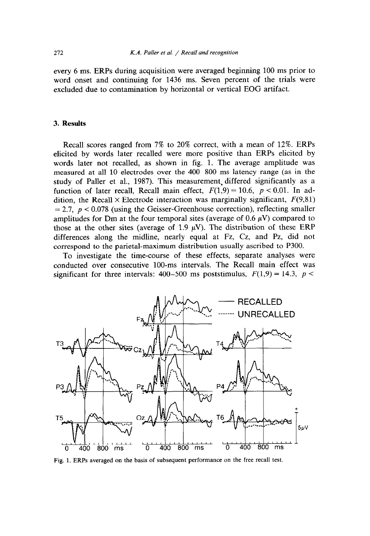every 6 ms. ERPs during acquisition were averaged beginning 100 ms prior to word onset and continuing for 1436 ms. Seven percent of the trials were excluded due to contamination by horizontal or vertical EOG artifact.

#### 3. **Results**

Recall scores ranged from 7% to 20% correct, with a mean of 12%. ERPs elicited by words later recalled were more positive than ERPs elicited by words later not recalled, as shown in fig. 1. The average amplitude was measured at all 10 electrodes over the 400-800 ms latency range (as in the study of Paller et al., 1987). This measurement, differed significantly as a function of later recall, Recall main effect,  $F(1,9) = 10.6$ ,  $p < 0.01$ . In addition, the Recall  $\times$  Electrode interaction was marginally significant,  $F(9,81)$  $= 2.7$ ,  $p < 0.078$  (using the Geisser-Greenhouse correction), reflecting smaller amplitudes for Dm at the four temporal sites (average of  $0.6 \mu V$ ) compared to those at the other sites (average of 1.9  $\mu$ V). The distribution of these ERP differences along the midline, nearly equal at Fz, Cz, and Pz, did not correspond to the parietal-maximum distribution usually ascribed to P300.

To investigate the time-course of these effects, separate analyses were conducted over consecutive lOO-ms intervals. The Recall main effect was significant for three intervals: 400–500 ms poststimulus,  $F(1,9) = 14.3$ ,  $p <$ 



Fig. 1. ERPs averaged on the basis of subsequent performance on the free recall test.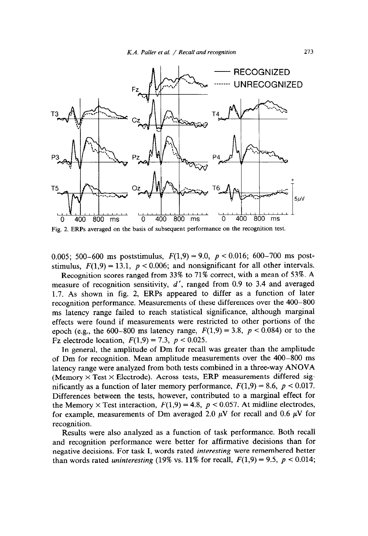

Fig. 2. ERPs averaged on the basis of subsequent performance on the recognition test.

*0.005; 500-600* ms poststimulus, F(1,9) = 9.0, *p <* 0.016; 600-700 ms poststimulus,  $F(1,9) = 13.1$ ,  $p < 0.006$ ; and nonsignificant for all other intervals.

Recognition scores ranged from 33% to 71% correct, with a mean of 53%. A measure of recognition sensitivity, *d ',* ranged from 0.9 to 3.4 and averaged 1.7. As shown in fig. 2, ERPs appeared to differ as a function of later recognition performance. Measurements of these differences over the 400-800 ms latency range failed to reach statistical significance, although marginal effects were found if measurements were restricted to other portions of the epoch (e.g., the 600–800 ms latency range,  $F(1,9) = 3.8$ ,  $p < 0.084$ ) or to the Fz electrode location,  $F(1,9) = 7.3$ ,  $p < 0.025$ .

In general, the amplitude of Dm for recall was greater than the amplitude of Dm for recognition. Mean amplitude measurements over the 400-800 ms latency range were analyzed from both tests combined in a three-way ANOVA (Memory  $\times$  Test  $\times$  Electrode). Across tests, ERP measurements differed significantly as a function of later memory performance,  $F(1,9) = 8.6$ ,  $p < 0.017$ . Differences between the tests, however, contributed to a marginal effect for the Memory  $\times$  Test interaction,  $F(1,9) = 4.8$ ,  $p < 0.057$ . At midline electrodes, for example, measurements of Dm averaged 2.0  $\mu$ V for recall and 0.6  $\mu$ V for recognition.

Results were also analyzed as a function of task performance. Both recall and recognition performance were better for affirmative decisions than for negative decisions. For task I, words rated *interesting* were remembered better than words rated *uninteresting* (19% vs. 11% for recall,  $F(1,9) = 9.5$ ,  $p < 0.014$ ;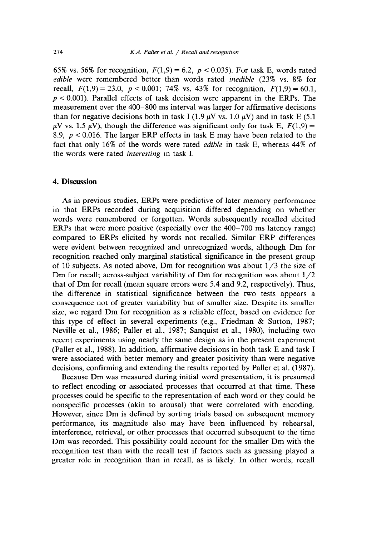65% vs. 56% for recognition, F(1,9) = 6.2, *p <* 0.035). For task E, words rated *edible* were remembered better than words rated *inedible (23% vs. 8%* for recall,  $F(1,9) = 23.0$ ,  $p < 0.001$ ; 74% vs. 43% for recognition,  $F(1,9) = 60.1$ ,  $p < 0.001$ ). Parallel effects of task decision were apparent in the ERPs. The measurement over the 400-800 ms interval was larger for affirmative decisions than for negative decisions both in task I (1.9  $\mu$ V vs. 1.0  $\mu$ V) and in task E (5.1)  $\mu$ V vs. 1.5  $\mu$ V), though the difference was significant only for task E,  $F(1,9) =$ 8.9,  $p < 0.016$ . The larger ERP effects in task E may have been related to the fact that only 16% of the words were rated *edible* in task E, whereas 44% of the words were rated *interesting* in task I.

# *4.* **Discussion**

As in previous studies, ERPs were predictive of later memory performance in that ERPs recorded during acquisition differed depending on whether words were remembered or forgotten. Words subsequently recalled elicited ERPs that were more positive (especially over the 400-700 ms latency range) compared to ERPs elicited by words not recalled. Similar ERP differences were evident between recognized and unrecognized words, although Dm for recognition reached only marginal statistical significance in the present group of 10 subjects. As noted above, Dm for recognition was about  $1/3$  the size of Dm for recall; across-subject variability of Dm for recognition was about  $1/2$ that of Dm for recall (mean square errors were 5.4 and 9.2, respectively). Thus, the difference in statistical significance between the two tests appears a consequence not of greater variability but of smaller size. Despite its smaller size, we regard Dm for recognition as a reliable effect, based on evidence for this type of effect in several experiments (e.g., Friedman & Sutton, 1987; Neville et al., 1986; Paller et al., 1987; Sanquist et al., 1980), including two recent experiments using nearly the same design as in the present experiment (Paller et al., 1988). In addition, affirmative decisions in both task E and task I were associated with better memory and greater positivity than were negative decisions, confirming and extending the results reported by Paller et al. (1987).

Because Dm was measured during initial word presentation, it is presumed to reflect encoding or associated processes that occurred at that time. These processes could be specific to the representation of each word or they could be nonspecific processes (akin to arousal) that were correlated with encoding. However, since Dm is defined by sorting trials based on subsequent memory performance, its magnitude also may have been influenced by rehearsal, interference, retrieval, or other processes that occurred subsequent to the time Dm was recorded. This possibility could account for the smaller Dm with the recognition test than with the recall test if factors such as guessing played a greater role in recognition than in recall, as is likely. In other words, recall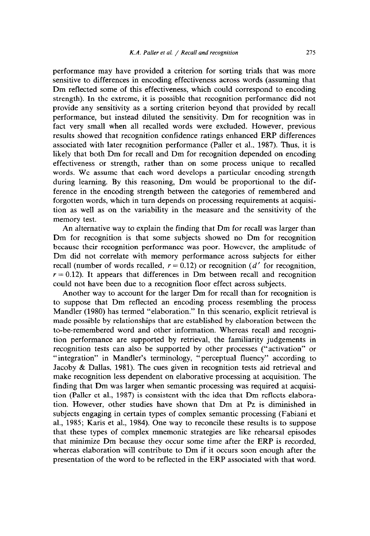performance may have provided a criterion for sorting trials that was more sensitive to differences in encoding effectiveness across words (assuming that Dm reflected some of this effectiveness, which could correspond to encoding strength). In the extreme, it is possible that recognition performance did not provide any sensitivity as a sorting criterion beyond that provided by recall performance, but instead diluted the sensitivity. Dm for recognition was in fact very small when all recalled words were excluded. However, previous results showed that recognition confidence ratings enhanced ERP differences associated with later recognition performance (Paller et al., 1987). Thus, it is likely that both Dm for recall and Dm for recognition depended on encoding effectiveness or strength, rather than on some process unique to recalled words. We assume that each word develops a particular encoding strength during learning. By this reasoning, Dm would be proportional to the difference in the encoding strength between the categories of remembered and forgotten words, which in turn depends on processing requirements at acquisition as well as on the variability in the measure and the sensitivity of the memory test.

An alternative way to explain the finding that Dm for recall was larger than Dm for recognition is that some subjects showed no Dm for recognition because their recognition performance was poor. However, the amplitude of Dm did not correlate with memory performance across subjects for either recall (number of words recalled,  $r = 0.12$ ) or recognition (d' for recognition,  $r = 0.12$ ). It appears that differences in Dm between recall and recognition could not have been due to a recognition floor effect across subjects.

Another way to account for the larger Dm for recall than for recognition is to suppose that Dm reflected an encoding process resembling the process Mandler (1980) has termed "elaboration." In this scenario, explicit retrieval is made possible by relationships that are established by elaboration between the to-be-remembered word and other information. Whereas recall and recognition performance are supported by retrieval, the familiarity judgements in recognition tests can also be supported by other processes ("activation" or "integration" in Mandler's terminology, "perceptual fluency" according to Jacoby & Dallas, 1981). The cues given in recognition tests aid retrieval and make recognition less dependent on elaborative processing at acquisition. The finding that Dm was larger when semantic processing was required at acquisition (Paller et al., 1987) is consistent with the idea that Dm reflects elaboration. However, other studies have shown that Dm at Pz is diminished in subjects engaging in certain types of complex semantic processing (Fabiani et al., 1985; Karis et al., 1984). One way to reconcile these results is to suppose that these types of complex mnemonic strategies are like rehearsal episodes that minimize Dm because they occur some time after the ERP is recorded, whereas elaboration will contribute to Dm if it occurs soon enough after the presentation of the word to be reflected in the ERP associated with that word.